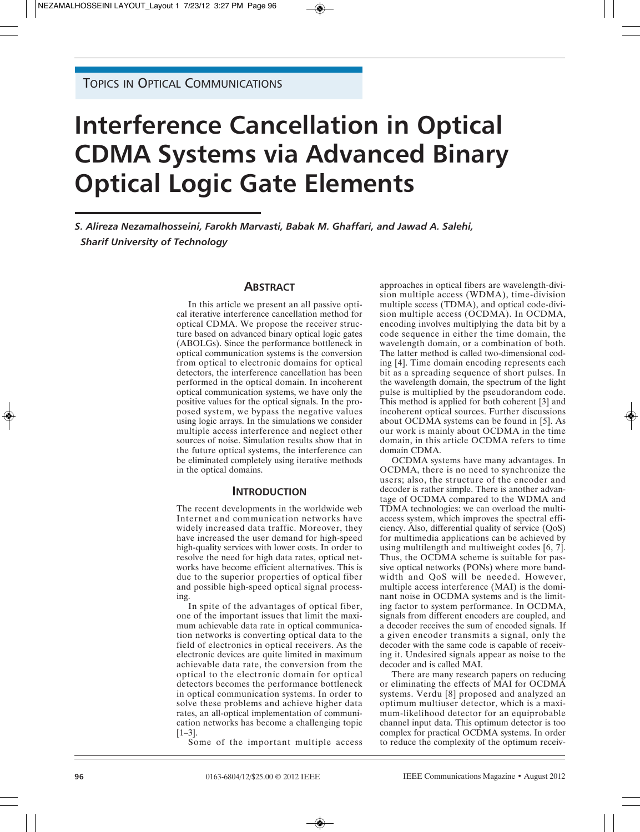# **Interference Cancellation in Optical CDMA Systems via Advanced Binary Optical Logic Gate Elements**

*S. Alireza Nezamalhosseini, Farokh Marvasti, Babak M. Ghaffari, and Jawad A. Salehi, Sharif University of Technology*

# **ABSTRACT**

In this article we present an all passive optical iterative interference cancellation method for optical CDMA. We propose the receiver structure based on advanced binary optical logic gates (ABOLGs). Since the performance bottleneck in optical communication systems is the conversion from optical to electronic domains for optical detectors, the interference cancellation has been performed in the optical domain. In incoherent optical communication systems, we have only the positive values for the optical signals. In the proposed system, we bypass the negative values using logic arrays. In the simulations we consider multiple access interference and neglect other sources of noise. Simulation results show that in the future optical systems, the interference can be eliminated completely using iterative methods in the optical domains.

## **INTRODUCTION**

The recent developments in the worldwide web Internet and communication networks have widely increased data traffic. Moreover, they have increased the user demand for high-speed high-quality services with lower costs. In order to resolve the need for high data rates, optical networks have become efficient alternatives. This is due to the superior properties of optical fiber and possible high-speed optical signal processing.

In spite of the advantages of optical fiber, one of the important issues that limit the maximum achievable data rate in optical communication networks is converting optical data to the field of electronics in optical receivers. As the electronic devices are quite limited in maximum achievable data rate, the conversion from the optical to the electronic domain for optical detectors becomes the performance bottleneck in optical communication systems. In order to solve these problems and achieve higher data rates, an all-optical implementation of communication networks has become a challenging topic [1–3].

Some of the important multiple access

approaches in optical fibers are wavelength-division multiple access (WDMA), time-division multiple sccess (TDMA), and optical code-division multiple access (OCDMA). In OCDMA, encoding involves multiplying the data bit by a code sequence in either the time domain, the wavelength domain, or a combination of both. The latter method is called two-dimensional coding [4]. Time domain encoding represents each bit as a spreading sequence of short pulses. In the wavelength domain, the spectrum of the light pulse is multiplied by the pseudorandom code. This method is applied for both coherent [3] and incoherent optical sources. Further discussions about OCDMA systems can be found in [5]. As our work is mainly about OCDMA in the time domain, in this article OCDMA refers to time domain CDMA.

OCDMA systems have many advantages. In OCDMA, there is no need to synchronize the users; also, the structure of the encoder and decoder is rather simple. There is another advantage of OCDMA compared to the WDMA and TDMA technologies: we can overload the multiaccess system, which improves the spectral efficiency. Also, differential quality of service (QoS) for multimedia applications can be achieved by using multilength and multiweight codes [6, 7]. Thus, the OCDMA scheme is suitable for passive optical networks (PONs) where more bandwidth and QoS will be needed. However, multiple access interference (MAI) is the dominant noise in OCDMA systems and is the limiting factor to system performance. In OCDMA, signals from different encoders are coupled, and a decoder receives the sum of encoded signals. If a given encoder transmits a signal, only the decoder with the same code is capable of receiving it. Undesired signals appear as noise to the decoder and is called MAI.

There are many research papers on reducing or eliminating the effects of MAI for OCDMA systems. Verdu [8] proposed and analyzed an optimum multiuser detector, which is a maximum-likelihood detector for an equiprobable channel input data. This optimum detector is too complex for practical OCDMA systems. In order to reduce the complexity of the optimum receiv-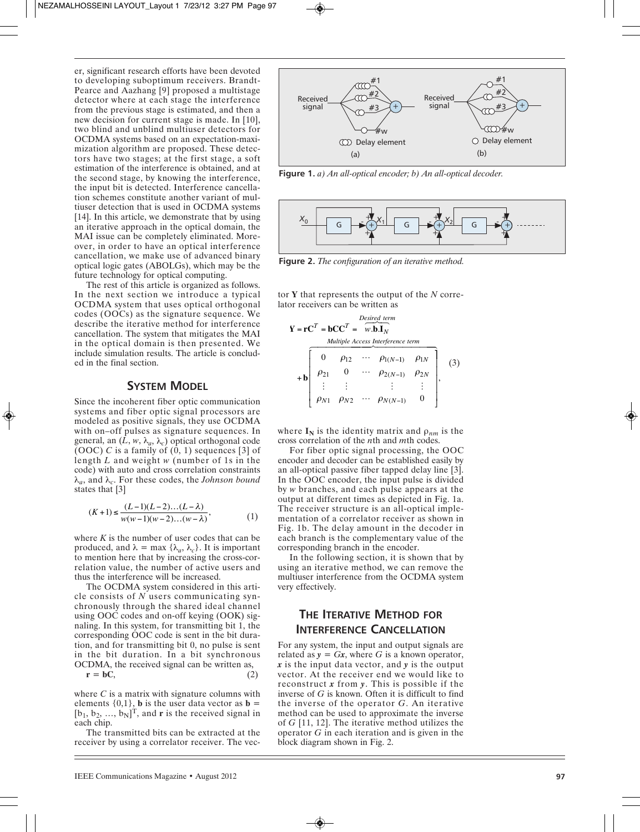er, significant research efforts have been devoted to developing suboptimum receivers. Brandt-Pearce and Aazhang [9] proposed a multistage detector where at each stage the interference from the previous stage is estimated, and then a new decision for current stage is made. In [10], two blind and unblind multiuser detectors for OCDMA systems based on an expectation-maximization algorithm are proposed. These detectors have two stages; at the first stage, a soft estimation of the interference is obtained, and at the second stage, by knowing the interference, the input bit is detected. Interference cancellation schemes constitute another variant of multiuser detection that is used in OCDMA systems [14]. In this article, we demonstrate that by using an iterative approach in the optical domain, the MAI issue can be completely eliminated. Moreover, in order to have an optical interference cancellation, we make use of advanced binary optical logic gates (ABOLGs), which may be the future technology for optical computing. er, significant research efforts have been devoted<br>
to developing suboptimum receivers. Brandt-<br>
Pearce and Aazhang [9] proposed a multistage<br>
detector where at each stage is estimated, and then a<br>
new decision for curren

The rest of this article is organized as follows. In the next section we introduce a typical OCDMA system that uses optical orthogonal codes (OOCs) as the signature sequence. We describe the iterative method for interference cancellation. The system that mitigates the MAI in the optical domain is then presented. We include simulation results. The article is concluded in the final section.

# **SYSTEM MODEL**

Since the incoherent fiber optic communication systems and fiber optic signal processors are modeled as positive signals, they use OCDMA with on–off pulses as signature sequences. In general, an  $(L, w, \lambda_a, \lambda_c)$  optical orthogonal code (OOC)  $\bar{C}$  is a family of  $(0, 1)$  sequences [3] of length *L* and weight *w* (number of 1s in the code) with auto and cross correlation constraints λ*a*, and λ*c*. For these codes, the *Johnson bound* states that [3]

$$
(K+1) \le \frac{(L-1)(L-2)...(L-\lambda)}{w(w-1)(w-2)...(w-\lambda)},
$$
\n(1)

where  $K$  is the number of user codes that can be produced, and  $\lambda = \max \{\lambda_a, \lambda_c\}$ . It is important to mention here that by increasing the cross-correlation value, the number of active users and thus the interference will be increased.

The OCDMA system considered in this article consists of *N* users communicating synchronously through the shared ideal channel using OOC codes and on-off keying (OOK) signaling. In this system, for transmitting bit 1, the corresponding OOC code is sent in the bit duration, and for transmitting bit 0, no pulse is sent in the bit duration. In a bit synchronous OCDMA, the received signal can be written as,  $r = bC$ 

where *C* is a matrix with signature columns with elements  $\{0,1\}$ , **b** is the user data vector as **b** =  $[b_1, b_2, ..., b_N]^T$ , and **r** is the received signal in each chip.

The transmitted bits can be extracted at the receiver by using a correlator receiver. The vec-



**Figure 1.** *a) An all-optical encoder; b) An all-optical decoder.*



**Figure 2.** *The configuration of an iterative method.*

tor **Y** that represents the output of the *N* correlator receivers can be written as

$$
\mathbf{Y} = \mathbf{r}\mathbf{C}^T = \mathbf{b}\mathbf{C}\mathbf{C}^T = \begin{bmatrix} \text{Desired term} \\ \overline{\mathbf{w}.\mathbf{b}.\mathbf{I}_N} \end{bmatrix}
$$
  
\n
$$
+ \mathbf{b} \begin{bmatrix} 0 & \rho_{12} & \cdots & \rho_{1(N-1)} & \rho_{1N} \\ \rho_{21} & 0 & \cdots & \rho_{2(N-1)} & \rho_{2N} \\ \vdots & \vdots & & \vdots & \vdots \\ \rho_{N1} & \rho_{N2} & \cdots & \rho_{N(N-1)} & 0 \end{bmatrix},
$$
 (3)

where  $I_N$  is the identity matrix and  $\rho_{nm}$  is the cross correlation of the *n*th and *m*th codes.

For fiber optic signal processing, the OOC encoder and decoder can be established easily by an all-optical passive fiber tapped delay line [3]. In the OOC encoder, the input pulse is divided by *w* branches, and each pulse appears at the output at different times as depicted in Fig. 1a. The receiver structure is an all-optical implementation of a correlator receiver as shown in Fig. 1b. The delay amount in the decoder in each branch is the complementary value of the corresponding branch in the encoder.

In the following section, it is shown that by using an iterative method, we can remove the multiuser interference from the OCDMA system very effectively.

# **THE ITERATIVE METHOD FOR INTERFERENCE CANCELLATION**

For any system, the input and output signals are related as  $y = Gx$ , where *G* is a known operator, *x* is the input data vector, and *y* is the output vector. At the receiver end we would like to reconstruct *x* from *y*. This is possible if the inverse of *G* is known. Often it is difficult to find the inverse of the operator *G*. An iterative method can be used to approximate the inverse of *G* [11, 12]. The iterative method utilizes the operator *G* in each iteration and is given in the block diagram shown in Fig. 2.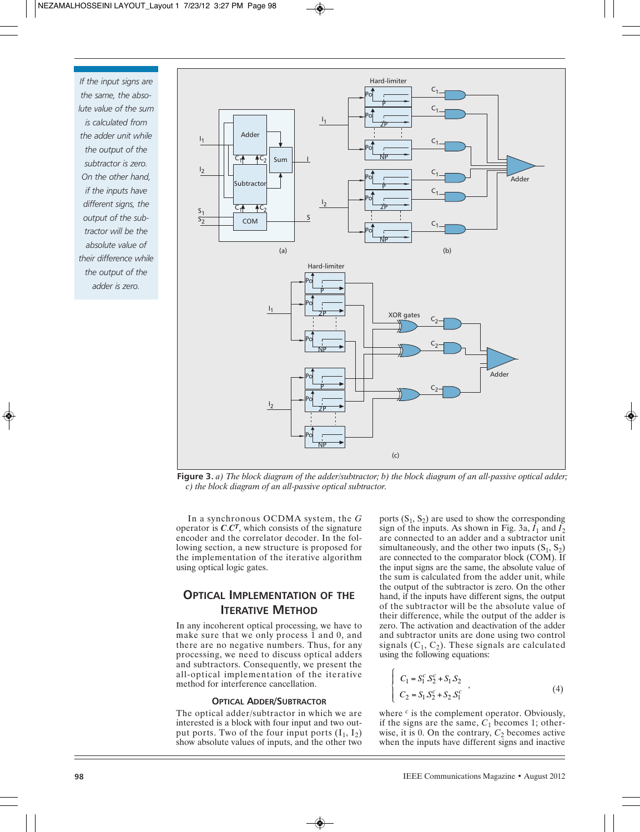*If the input signs are the same, the absolute value of the sum is calculated from the adder unit while the output of the subtractor is zero. On the other hand, if the inputs have different signs, the output of the subtractor will be the absolute value of their difference while the output of the adder is zero.*



**Figure 3.** *a) The block diagram of the adder/subtractor; b) the block diagram of an all-passive optical adder; c) the block diagram of an all-passive optical subtractor.*

In a synchronous OCDMA system, the *G* operator is  $C \cdot C^T$ , which consists of the signature encoder and the correlator decoder. In the following section, a new structure is proposed for the implementation of the iterative algorithm using optical logic gates.

# **OPTICAL IMPLEMENTATION OF THE ITERATIVE METHOD**

In any incoherent optical processing, we have to make sure that we only process 1 and 0, and there are no negative numbers. Thus, for any processing, we need to discuss optical adders and subtractors. Consequently, we present the all-optical implementation of the iterative method for interference cancellation.

#### **OPTICAL ADDER/SUBTRACTOR**

The optical adder/subtractor in which we are interested is a block with four input and two output ports. Two of the four input ports  $(I_1, I_2)$ show absolute values of inputs, and the other two ports  $(S_1, S_2)$  are used to show the corresponding sign of the inputs. As shown in Fig. 3a,  $\bar{I}_1$  and  $\bar{I}_2$ are connected to an adder and a subtractor unit simultaneously, and the other two inputs  $(S_1, S_2)$ are connected to the comparator block (COM). If the input signs are the same, the absolute value of the sum is calculated from the adder unit, while the output of the subtractor is zero. On the other hand, if the inputs have different signs, the output of the subtractor will be the absolute value of their difference, while the output of the adder is zero. The activation and deactivation of the adder and subtractor units are done using two control signals  $(C_1, C_2)$ . These signals are calculated using the following equations:

$$
\begin{cases}\nC_1 = S_1^c S_2^c + S_1 S_2 \\
C_2 = S_1 S_2^c + S_2 S_1^c\n\end{cases} (4)
$$

where  $c$  is the complement operator. Obviously, if the signs are the same,  $C_1$  becomes 1; otherwise, it is 0. On the contrary,  $C_2$  becomes active when the inputs have different signs and inactive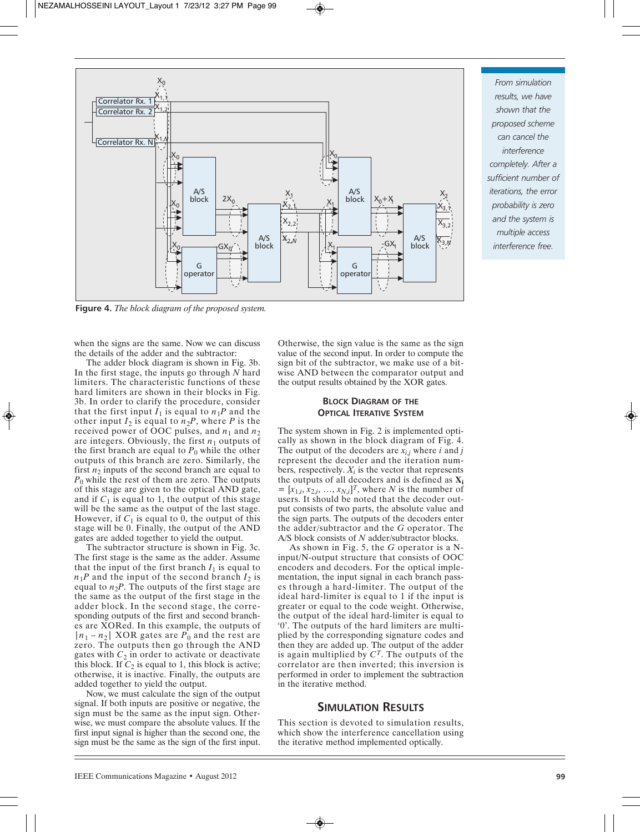

**Figure 4.** *The block diagram of the proposed system.*

when the signs are the same. Now we can discuss the details of the adder and the subtractor:

The adder block diagram is shown in Fig. 3b. In the first stage, the inputs go through *N* hard limiters. The characteristic functions of these hard limiters are shown in their blocks in Fig. 3b. In order to clarify the procedure, consider that the first input  $I_1$  is equal to  $n_1P$  and the other input  $I_2$  is equal to  $n_2P$ , where *P* is the received power of OOC pulses, and  $n_1$  and  $n_2$ are integers. Obviously, the first  $n_1$  outputs of the first branch are equal to  $P_0$  while the other outputs of this branch are zero. Similarly, the first  $n_2$  inputs of the second branch are equal to  $P_0$  while the rest of them are zero. The outputs of this stage are given to the optical AND gate, and if  $C_1$  is equal to 1, the output of this stage will be the same as the output of the last stage. However, if  $C_1$  is equal to 0, the output of this stage will be 0. Finally, the output of the AND gates are added together to yield the output.

The subtractor structure is shown in Fig. 3c. The first stage is the same as the adder. Assume that the input of the first branch  $I_1$  is equal to  $n_1P$  and the input of the second branch  $I_2$  is equal to  $n_2P$ . The outputs of the first stage are the same as the output of the first stage in the adder block. In the second stage, the corresponding outputs of the first and second branches are XORed. In this example, the outputs of  $|n_1 - n_2|$  XOR gates are  $P_0$  and the rest are zero. The outputs then go through the AND gates with  $C_2$  in order to activate or deactivate this block. If  $C_2$  is equal to 1, this block is active; otherwise, it is inactive. Finally, the outputs are added together to yield the output.

Now, we must calculate the sign of the output signal. If both inputs are positive or negative, the sign must be the same as the input sign. Otherwise, we must compare the absolute values. If the first input signal is higher than the second one, the sign must be the same as the sign of the first input. Otherwise, the sign value is the same as the sign value of the second input. In order to compute the sign bit of the subtractor, we make use of a bitwise AND between the comparator output and the output results obtained by the XOR gates.

# **BLOCK DIAGRAM OF THE OPTICAL ITERATIVE SYSTEM**

The system shown in Fig. 2 is implemented optically as shown in the block diagram of Fig. 4. The output of the decoders are  $x_{i,j}$  where *i* and *j* represent the decoder and the iteration numbers, respectively.  $X_i$  is the vector that represents the outputs of all decoders and is defined as **Xi**  $=[x_{1,i}, x_{2,i}, ..., x_{N,i}]^T$ , where *N* is the number of users. It should be noted that the decoder output consists of two parts, the absolute value and the sign parts. The outputs of the decoders enter the adder/subtractor and the *G* operator. The A/S block consists of *N* adder/subtractor blocks.

As shown in Fig. 5, the *G* operator is a Ninput/N-output structure that consists of OOC encoders and decoders. For the optical implementation, the input signal in each branch passes through a hard-limiter. The output of the ideal hard-limiter is equal to 1 if the input is greater or equal to the code weight. Otherwise, the output of the ideal hard-limiter is equal to '0'. The outputs of the hard limiters are multiplied by the corresponding signature codes and then they are added up. The output of the adder is again multiplied by *CT*. The outputs of the correlator are then inverted; this inversion is performed in order to implement the subtraction in the iterative method.

# **SIMULATION RESULTS**

This section is devoted to simulation results, which show the interference cancellation using the iterative method implemented optically.

*From simulation results, we have shown that the proposed scheme can cancel the interference completely. After a sufficient number of iterations, the error probability is zero and the system is multiple access interference free.*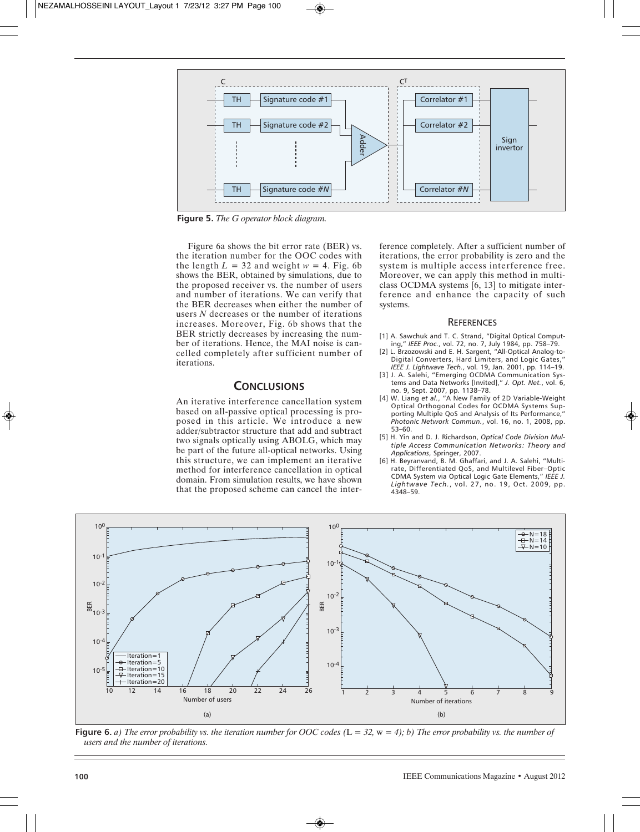

**Figure 5.** *The G operator block diagram.*

Figure 6a shows the bit error rate (BER) vs. the iteration number for the OOC codes with the length  $L = 32$  and weight  $w = 4$ . Fig. 6b shows the BER, obtained by simulations, due to the proposed receiver vs. the number of users and number of iterations. We can verify that the BER decreases when either the number of users *N* decreases or the number of iterations increases. Moreover, Fig. 6b shows that the BER strictly decreases by increasing the number of iterations. Hence, the MAI noise is cancelled completely after sufficient number of iterations.

# **CONCLUSIONS**

An iterative interference cancellation system based on all-passive optical processing is proposed in this article. We introduce a new adder/subtractor structure that add and subtract two signals optically using ABOLG, which may be part of the future all-optical networks. Using this structure, we can implement an iterative method for interference cancellation in optical domain. From simulation results, we have shown that the proposed scheme can cancel the interference completely. After a sufficient number of iterations, the error probability is zero and the system is multiple access interference free. Moreover, we can apply this method in multiclass OCDMA systems [6, 13] to mitigate interference and enhance the capacity of such systems.

#### **REFERENCES**

- [1] A. Sawchuk and T. C. Strand, "Digital Optical Computing," *IEEE Proc.*, vol. 72, no. 7, July 1984, pp. 758–79.
- [2] L. Brzozowski and E. H. Sargent, "All-Optical Analog-to-Digital Converters, Hard Limiters, and Logic Gates," *IEEE J. Lightwave Tech.*, vol. 19, Jan. 2001, pp. 114–19.
- [3] J. A. Salehi, "Emerging OCDMA Communication Systems and Data Networks [Invited]," *J. Opt. Net.*, vol. 6, no. 9, Sept. 2007, pp. 1138–78.
- [4] W. Liang *et al.*, "A New Family of 2D Variable-Weight Optical Orthogonal Codes for OCDMA Systems Supporting Multiple QoS and Analysis of Its Performance," *Photonic Network Commun.*, vol. 16, no. 1, 2008, pp. 53–60.
- [5] H. Yin and D. J. Richardson, *Optical Code Division Multiple Access Communication Networks: Theory and Applications*, Springer, 2007.
- [6] H. Beyranvand, B. M. Ghaffari, and J. A. Salehi, "Multirate, Differentiated QoS, and Multilevel Fiber–Optic CDMA System via Optical Logic Gate Elements," *IEEE J. Lightwave Tech.*, vol. 27, no. 19, Oct. 2009, pp. 4348–59.



**Figure 6.** *a) The error probability vs. the iteration number for OOC codes (*L *= 32,* w *= 4); b) The error probability vs. the number of users and the number of iterations.*